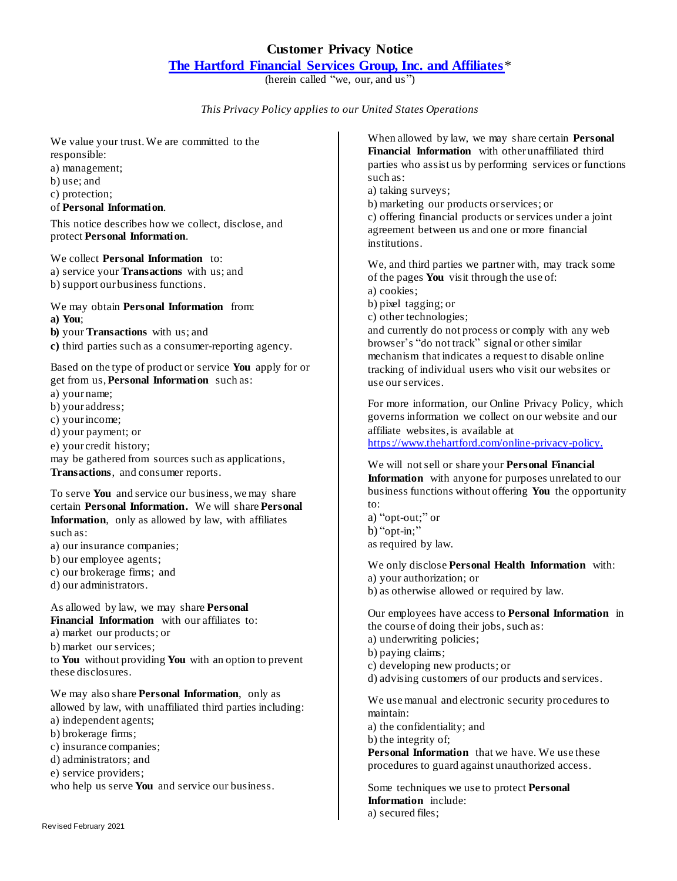## **Customer Privacy Notice**

## **[The Hartford Financial Services Group, Inc. and Affiliates](http://i-psites.thehartford.com/servlet/Satellite?blobcol=urldata&blobheader=application%2Fpdf&blobheadername1=Content-Disposition&blobheadervalue1=inline%3B+filename%3DRevisedCustomerPrivacyPolicyMarch2011.pdf&blobkey=id&blobnocache=false&blobtable=MungoBlobs&blobwhere=1288633233598&ssbinary=true)**\*

(herein called "we, our, and us")

*This Privacy Policy applies to our United States Operations*

We value your trust. We are committed to the responsible:

a) management;

b) use; and

c) protection;

of **Personal Information**.

This notice describes how we collect, disclose, and protect **Personal Information**.

We collect **Personal Information** to: a) service your **Transactions** with us; and b) support our business functions.

We may obtain **Personal Information** from: **a) You**; **b)** your **Transactions** with us; and

**c)** third parties such as a consumer-reporting agency.

Based on the type of product or service **You** apply for or get from us, **Personal Information** such as:

a) your name;

b) your address;

c) your income;

d) your payment; or

e) your credit history;

may be gathered from sources such as applications, **Transactions**, and consumer reports.

To serve **You** and service our business, we may share certain **Personal Information.** We will share **Personal Information**, only as allowed by law, with affiliates such as:

a) our insurance companies;

b) our employee agents;

c) our brokerage firms; and

d) our administrators.

As allowed by law, we may share **Personal Financial Information** with our affiliates to: a) market our products; or

b) market our services;

to **You** without providing **You** with an option to prevent these disclosures.

We may also share **Personal Information**, only as allowed by law, with unaffiliated third parties including: a) independent agents; b) brokerage firms; c) insurance companies; d) administrators; and e) service providers; who help us serve **You** and service our business.

When allowed by law, we may share certain **Personal Financial Information** with other unaffiliated third parties who assist us by performing services or functions such as:

a) taking surveys;

b) marketing our products or services; or c) offering financial products or services under a joint agreement between us and one or more financial institutions.

We, and third parties we partner with, may track some of the pages **You** visit through the use of: a) cookies; b) pixel tagging; or c) other technologies; and currently do not process or comply with any web browser's "do not track" signal or other similar

mechanism that indicates a request to disable online tracking of individual users who visit our websites or use our services.

For more information, our Online Privacy Policy, which governs information we collect on our website and our affiliate websites, is available at <https://www.thehartford.com/online-privacy-policy.>

We will not sell or share your **Personal Financial Information** with anyone for purposes unrelated to our business functions without offering **You** the opportunity to:

a) "opt-out;" or b) "opt-in;" as required by law.

We only disclose **Personal Health Information** with: a) your authorization; or b) as otherwise allowed or required by law.

Our employees have access to **Personal Information** in the course of doing their jobs, such as: a) underwriting policies; b) paying claims;

c) developing new products; or

d) advising customers of our products and services.

We use manual and electronic security procedures to maintain:

a) the confidentiality; and b) the integrity of;

**Personal Information** that we have. We use these procedures to guard against unauthorized access.

Some techniques we use to protect **Personal Information** include: a) secured files;